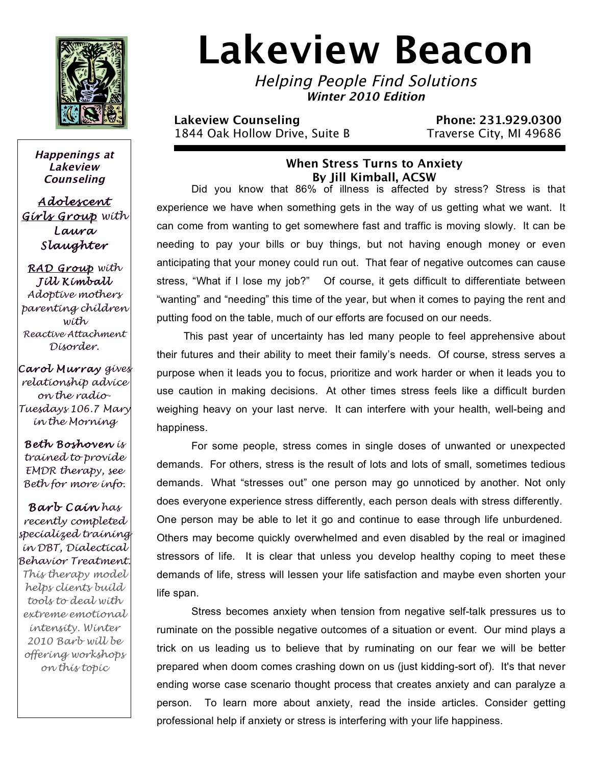

**Happenings at Lakeview Counseling**

*Ado lescent Gir ls Group with Laura Slaught er* 

*RAD G roup with Jill Kimbal l Adoptive mothers parenting children with Reactive Attachment Disorder.* 

*Carol Murray gives relationship advice on the radio-Tuesdays 106.7 Mary in the Morning*

*Beth Boshoven is trained to provide EMDR therapy, see Beth for more info.*

*Barb Cain has recently completed specialized training in DBT, Dialectical Behavior Treatment. This therapy model helps clients build tools to deal with extreme emotional intensity. Winter 2010 Barb will be offering workshops on this topic*

# **Lakeview Beacon**

Helping People Find Solutions **Winter 2010 Edition**

**Lakeview Counseling Community Counseling Phone: 231.929.0300** 1844 Oak Hollow Drive, Suite B Traverse City, MI 49686

## **When Stress Turns to Anxiety By Jill Kimball, ACSW**

Did you know that 86% of illness is affected by stress? Stress is that experience we have when something gets in the way of us getting what we want. It can come from wanting to get somewhere fast and traffic is moving slowly. It can be needing to pay your bills or buy things, but not having enough money or even anticipating that your money could run out. That fear of negative outcomes can cause stress, "What if I lose my job?" Of course, it gets difficult to differentiate between "wanting" and "needing" this time of the year, but when it comes to paying the rent and putting food on the table, much of our efforts are focused on our needs.

 This past year of uncertainty has led many people to feel apprehensive about their futures and their ability to meet their family's needs. Of course, stress serves a purpose when it leads you to focus, prioritize and work harder or when it leads you to use caution in making decisions. At other times stress feels like a difficult burden weighing heavy on your last nerve. It can interfere with your health, well-being and happiness.

For some people, stress comes in single doses of unwanted or unexpected demands. For others, stress is the result of lots and lots of small, sometimes tedious demands. What "stresses out" one person may go unnoticed by another. Not only does everyone experience stress differently, each person deals with stress differently. One person may be able to let it go and continue to ease through life unburdened. Others may become quickly overwhelmed and even disabled by the real or imagined stressors of life. It is clear that unless you develop healthy coping to meet these demands of life, stress will lessen your life satisfaction and maybe even shorten your life span.

Stress becomes anxiety when tension from negative self-talk pressures us to ruminate on the possible negative outcomes of a situation or event. Our mind plays a trick on us leading us to believe that by ruminating on our fear we will be better prepared when doom comes crashing down on us (just kidding-sort of). It's that never ending worse case scenario thought process that creates anxiety and can paralyze a person. To learn more about anxiety, read the inside articles. Consider getting professional help if anxiety or stress is interfering with your life happiness.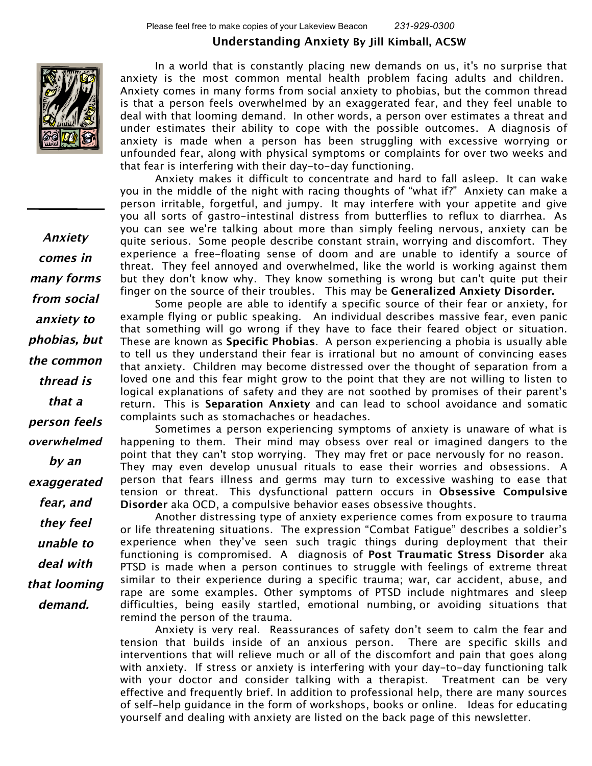#### **Understanding Anxiety By Jill Kimball, ACSW**



**Anxiety comes in many forms from social anxiety to phobias, but the common thread is that a person feels overwhelmed by an exaggerated fear, and they feel unable to deal with that looming demand.**

In a world that is constantly placing new demands on us, it's no surprise that anxiety is the most common mental health problem facing adults and children. Anxiety comes in many forms from social anxiety to phobias, but the common thread is that a person feels overwhelmed by an exaggerated fear, and they feel unable to deal with that looming demand. In other words, a person over estimates a threat and under estimates their ability to cope with the possible outcomes. A diagnosis of anxiety is made when a person has been struggling with excessive worrying or unfounded fear, along with physical symptoms or complaints for over two weeks and that fear is interfering with their day-to-day functioning.

Anxiety makes it difficult to concentrate and hard to fall asleep. It can wake you in the middle of the night with racing thoughts of "what if?" Anxiety can make a person irritable, forgetful, and jumpy. It may interfere with your appetite and give you all sorts of gastro-intestinal distress from butterflies to reflux to diarrhea. As you can see we're talking about more than simply feeling nervous, anxiety can be quite serious. Some people describe constant strain, worrying and discomfort. They experience a free-floating sense of doom and are unable to identify a source of threat. They feel annoyed and overwhelmed, like the world is working against them but they don't know why. They know something is wrong but can't quite put their finger on the source of their troubles. This may be **Generalized Anxiety Disorder.**

Some people are able to identify a specific source of their fear or anxiety, for example flying or public speaking. An individual describes massive fear, even panic that something will go wrong if they have to face their feared object or situation. These are known as **Specific Phobias**. A person experiencing a phobia is usually able to tell us they understand their fear is irrational but no amount of convincing eases that anxiety. Children may become distressed over the thought of separation from a loved one and this fear might grow to the point that they are not willing to listen to logical explanations of safety and they are not soothed by promises of their parent's return. This is **Separation Anxiety** and can lead to school avoidance and somatic complaints such as stomachaches or headaches.

Sometimes a person experiencing symptoms of anxiety is unaware of what is happening to them. Their mind may obsess over real or imagined dangers to the point that they can't stop worrying. They may fret or pace nervously for no reason. They may even develop unusual rituals to ease their worries and obsessions. A person that fears illness and germs may turn to excessive washing to ease that tension or threat. This dysfunctional pattern occurs in **Obsessive Compulsive Disorder** aka OCD, a compulsive behavior eases obsessive thoughts.

Another distressing type of anxiety experience comes from exposure to trauma or life threatening situations. The expression "Combat Fatigue" describes a soldier's experience when they've seen such tragic things during deployment that their functioning is compromised. A diagnosis of **Post Traumatic Stress Disorder** aka PTSD is made when a person continues to struggle with feelings of extreme threat similar to their experience during a specific trauma; war, car accident, abuse, and rape are some examples. Other symptoms of PTSD include nightmares and sleep difficulties, being easily startled, emotional numbing, or avoiding situations that remind the person of the trauma.

Anxiety is very real. Reassurances of safety don't seem to calm the fear and tension that builds inside of an anxious person. There are specific skills and interventions that will relieve much or all of the discomfort and pain that goes along with anxiety. If stress or anxiety is interfering with your day-to-day functioning talk with your doctor and consider talking with a therapist. Treatment can be very effective and frequently brief. In addition to professional help, there are many sources of self-help guidance in the form of workshops, books or online. Ideas for educating yourself and dealing with anxiety are listed on the back page of this newsletter.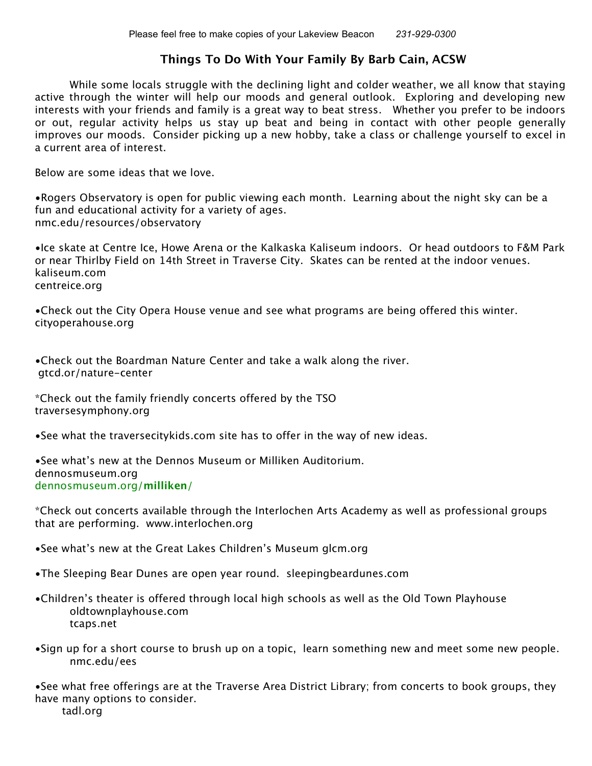## **Things To Do With Your Family By Barb Cain, ACSW**

While some locals struggle with the declining light and colder weather, we all know that staying active through the winter will help our moods and general outlook. Exploring and developing new interests with your friends and family is a great way to beat stress. Whether you prefer to be indoors or out, regular activity helps us stay up beat and being in contact with other people generally improves our moods. Consider picking up a new hobby, take a class or challenge yourself to excel in a current area of interest.

Below are some ideas that we love.

•Rogers Observatory is open for public viewing each month. Learning about the night sky can be a fun and educational activity for a variety of ages. nmc.edu/resources/observatory

•Ice skate at Centre Ice, Howe Arena or the Kalkaska Kaliseum indoors. Or head outdoors to F&M Park or near Thirlby Field on 14th Street in Traverse City. Skates can be rented at the indoor venues. kaliseum.com centreice.org

•Check out the City Opera House venue and see what programs are being offered this winter. cityoperahouse.org

•Check out the Boardman Nature Center and take a walk along the river. gtcd.or/nature-center

\*Check out the family friendly concerts offered by the TSO traversesymphony.org

•See what the traversecitykids.com site has to offer in the way of new ideas.

•See what's new at the Dennos Museum or Milliken Auditorium. dennosmuseum.org dennosmuseum.org/**milliken**/

\*Check out concerts available through the Interlochen Arts Academy as well as professional groups that are performing. www.interlochen.org

•See what's new at the Great Lakes Children's Museum glcm.org

•The Sleeping Bear Dunes are open year round. sleepingbeardunes.com

•Children's theater is offered through local high schools as well as the Old Town Playhouse oldtownplayhouse.com tcaps.net

•Sign up for a short course to brush up on a topic, learn something new and meet some new people. nmc.edu/ees

•See what free offerings are at the Traverse Area District Library; from concerts to book groups, they have many options to consider.

tadl.org